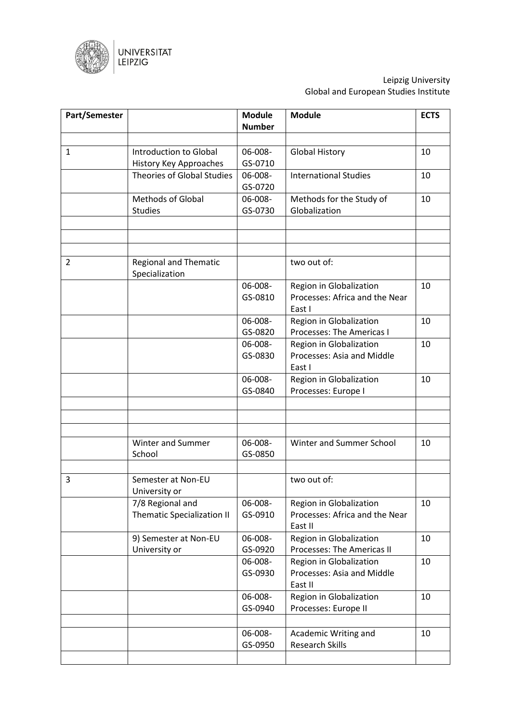

## Leipzig University Global and European Studies Institute

| Part/Semester  |                                        | <b>Module</b>      | <b>Module</b>                                         | <b>ECTS</b> |
|----------------|----------------------------------------|--------------------|-------------------------------------------------------|-------------|
|                |                                        | <b>Number</b>      |                                                       |             |
|                |                                        |                    |                                                       |             |
| 1              | Introduction to Global                 | 06-008-            | <b>Global History</b>                                 | 10          |
|                | History Key Approaches                 | GS-0710            |                                                       |             |
|                | <b>Theories of Global Studies</b>      | 06-008-            | <b>International Studies</b>                          | 10          |
|                |                                        | GS-0720            |                                                       |             |
|                | <b>Methods of Global</b>               | 06-008-            | Methods for the Study of                              | 10          |
|                | <b>Studies</b>                         | GS-0730            | Globalization                                         |             |
|                |                                        |                    |                                                       |             |
|                |                                        |                    |                                                       |             |
|                |                                        |                    |                                                       |             |
| $\overline{2}$ | <b>Regional and Thematic</b>           |                    | two out of:                                           |             |
|                | Specialization                         |                    |                                                       |             |
|                |                                        | 06-008-            | Region in Globalization                               | 10          |
|                |                                        | GS-0810            | Processes: Africa and the Near                        |             |
|                |                                        |                    | East I                                                |             |
|                |                                        | 06-008-            | Region in Globalization                               | 10          |
|                |                                        | GS-0820            | Processes: The Americas I                             |             |
|                |                                        | 06-008-            | Region in Globalization                               | 10          |
|                |                                        | GS-0830            | Processes: Asia and Middle                            |             |
|                |                                        |                    | East I                                                |             |
|                |                                        | 06-008-<br>GS-0840 | Region in Globalization<br>Processes: Europe I        | 10          |
|                |                                        |                    |                                                       |             |
|                |                                        |                    |                                                       |             |
|                |                                        |                    |                                                       |             |
|                |                                        |                    |                                                       |             |
|                | Winter and Summer                      | 06-008-            | Winter and Summer School                              | 10          |
|                | School                                 | GS-0850            |                                                       |             |
|                |                                        |                    |                                                       |             |
| 3              | Semester at Non-EU                     |                    | two out of:                                           |             |
|                | University or                          |                    |                                                       |             |
|                | 7/8 Regional and                       | 06-008-            | Region in Globalization                               | 10          |
|                | <b>Thematic Specialization II</b>      | GS-0910            | Processes: Africa and the Near                        |             |
|                |                                        | 06-008-            | East II                                               |             |
|                | 9) Semester at Non-EU<br>University or | GS-0920            | Region in Globalization<br>Processes: The Americas II | 10          |
|                |                                        | 06-008-            | Region in Globalization                               | 10          |
|                |                                        | GS-0930            | Processes: Asia and Middle                            |             |
|                |                                        |                    | East II                                               |             |
|                |                                        | 06-008-            | Region in Globalization                               | 10          |
|                |                                        | GS-0940            | Processes: Europe II                                  |             |
|                |                                        |                    |                                                       |             |
|                |                                        | 06-008-            | Academic Writing and                                  | 10          |
|                |                                        | GS-0950            | <b>Research Skills</b>                                |             |
|                |                                        |                    |                                                       |             |